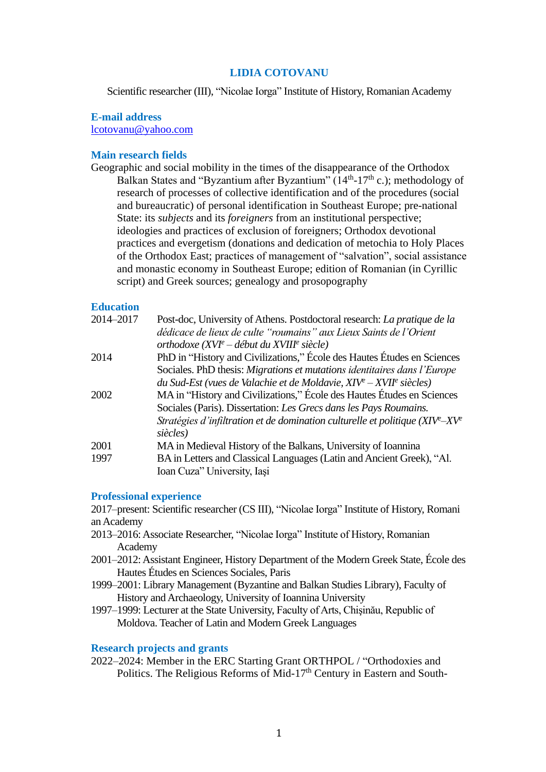# **LIDIA COTOVANU**

Scientific researcher (III), "Nicolae Iorga" Institute of History, Romanian Academy

## **E-mail address**

[lcotovanu@yahoo.com](mailto:lcotovanu@yahoo.com)

# **Main research fields**

Geographic and social mobility in the times of the disappearance of the Orthodox Balkan States and "Byzantium after Byzantium"  $(14<sup>th</sup>-17<sup>th</sup> c$ .); methodology of research of processes of collective identification and of the procedures (social and bureaucratic) of personal identification in Southeast Europe; pre-national State: its *subjects* and its *foreigners* from an institutional perspective; ideologies and practices of exclusion of foreigners; Orthodox devotional practices and evergetism (donations and dedication of metochia to Holy Places of the Orthodox East; practices of management of "salvation", social assistance and monastic economy in Southeast Europe; edition of Romanian (in Cyrillic script) and Greek sources; genealogy and prosopography

# **Education**

| 2014-2017 | Post-doc, University of Athens. Postdoctoral research: La pratique de la              |
|-----------|---------------------------------------------------------------------------------------|
|           | dédicace de lieux de culte "roumains" aux Lieux Saints de l'Orient                    |
|           | orthodoxe $(XVI^e - d\acute{e}but du XVIII^e$ siècle)                                 |
| 2014      | PhD in "History and Civilizations," École des Hautes Études en Sciences               |
|           | Sociales. PhD thesis: Migrations et mutations identitaires dans l'Europe              |
|           | du Sud-Est (vues de Valachie et de Moldavie, $XIV^e - XVII^e$ siècles)                |
| 2002      | MA in "History and Civilizations," École des Hautes Études en Sciences                |
|           | Sociales (Paris). Dissertation: Les Grecs dans les Pays Roumains.                     |
|           | Stratégies d'infiltration et de domination culturelle et politique $(XIV^{e}-XV^{e})$ |
|           | siècles)                                                                              |
| 2001      | MA in Medieval History of the Balkans, University of Ioannina                         |
| 1997      | BA in Letters and Classical Languages (Latin and Ancient Greek), "Al.                 |
|           | Ioan Cuza" University, Iasi                                                           |

#### **Professional experience**

2017–present: Scientific researcher (CS III), "Nicolae Iorga" Institute of History, Romani an Academy

- 2013–2016: Associate Researcher, "Nicolae Iorga" Institute of History, Romanian Academy
- 2001–2012: Assistant Engineer, History Department of the Modern Greek State, École des Hautes Études en Sciences Sociales, Paris
- 1999–2001: Library Management (Byzantine and Balkan Studies Library), Faculty of History and Archaeology, University of Ioannina University
- 1997–1999: Lecturer at the State University, Faculty of Arts, Chişinău, Republic of Moldova. Teacher of Latin and Modern Greek Languages

## **Research projects and grants**

2022–2024: Member in the ERC Starting Grant ORTHPOL / "Orthodoxies and Politics. The Religious Reforms of Mid-17<sup>th</sup> Century in Eastern and South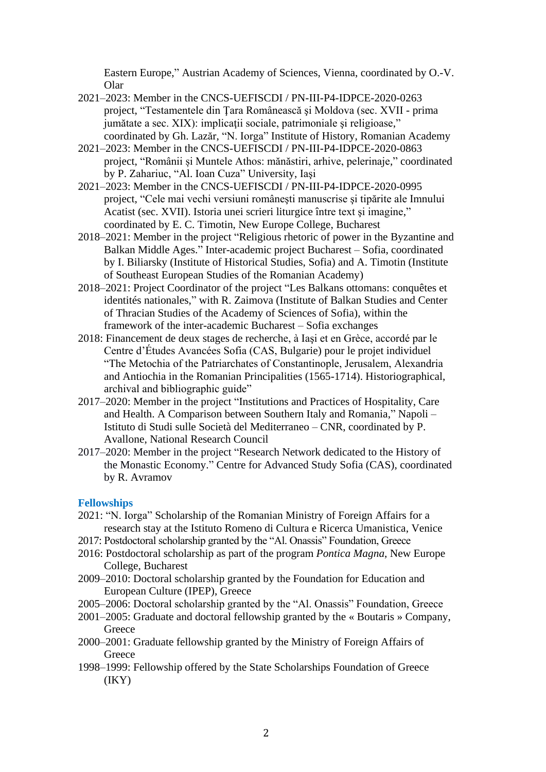Eastern Europe," Austrian Academy of Sciences, Vienna, coordinated by O.-V. Olar

- 2021–2023: Member in the CNCS-UEFISCDI / PN-III-P4-IDPCE-2020-0263 project, "Testamentele din Ţara Românească şi Moldova (sec. XVII - prima jumătate a sec. XIX): implicații sociale, patrimoniale și religioase," coordinated by Gh. Lazăr, "N. Iorga" Institute of History, Romanian Academy
- 2021–2023: Member in the CNCS-UEFISCDI / PN-III-P4-IDPCE-2020-0863 project, "Românii și Muntele Athos: mănăstiri, arhive, pelerinaje," coordinated by P. Zahariuc, "Al. Ioan Cuza" University, Iaşi
- 2021–2023: Member in the CNCS-UEFISCDI / PN-III-P4-IDPCE-2020-0995 project, "Cele mai vechi versiuni româneşti manuscrise şi tipărite ale Imnului Acatist (sec. XVII). Istoria unei scrieri liturgice între text şi imagine," coordinated by E. C. Timotin, New Europe College, Bucharest
- 2018–2021: Member in the project "Religious rhetoric of power in the Byzantine and Balkan Middle Ages." Inter-academic project Bucharest – Sofia, coordinated by I. Biliarsky (Institute of Historical Studies, Sofia) and A. Timotin (Institute of Southeast European Studies of the Romanian Academy)
- 2018–2021: Project Coordinator of the project "Les Balkans ottomans: conquêtes et identités nationales," with R. Zaimova (Institute of Balkan Studies and Center of Thracian Studies of the Academy of Sciences of Sofia), within the framework of the inter-academic Bucharest – Sofia exchanges
- 2018: Financement de deux stages de recherche, à Iaşi et en Grèce, accordé par le Centre d'Études Avancées Sofia (CAS, Bulgarie) pour le projet individuel "The Мetochia of the Patriarchates of Constantinople, Jerusalem, Alexandria and Antiochia in the Romanian Principalities (1565-1714). Historiographical, archival and bibliographic guide"
- 2017–2020: Member in the project "Institutions and Practices of Hospitality, Care and Health. A Comparison between Southern Italy and Romania," Napoli – Istituto di Studi sulle Società del Mediterraneo – CNR, coordinated by P. Avallone, National Research Council
- 2017–2020: Member in the project "Research Network dedicated to the History of the Monastic Economy." Centre for Advanced Study Sofia (CAS), coordinated by R. Avramov

## **Fellowships**

- 2021: "N. Iorga" Scholarship of the Romanian Ministry of Foreign Affairs for a research stay at the Istituto Romeno di Cultura e Ricerca Umanistica, Venice
- 2017: Postdoctoral scholarship granted by the "Al. Onassis" Foundation, Greece
- 2016: Postdoctoral scholarship as part of the program *Pontica Magna*, New Europe College, Bucharest
- 2009–2010: Doctoral scholarship granted by the Foundation for Education and European Culture (IPEP), Greece
- 2005–2006: Doctoral scholarship granted by the "Al. Onassis" Foundation, Greece
- 2001–2005: Graduate and doctoral fellowship granted by the « Boutaris » Company, Greece
- 2000–2001: Graduate fellowship granted by the Ministry of Foreign Affairs of Greece
- 1998–1999: Fellowship offered by the State Scholarships Foundation of Greece (IKY)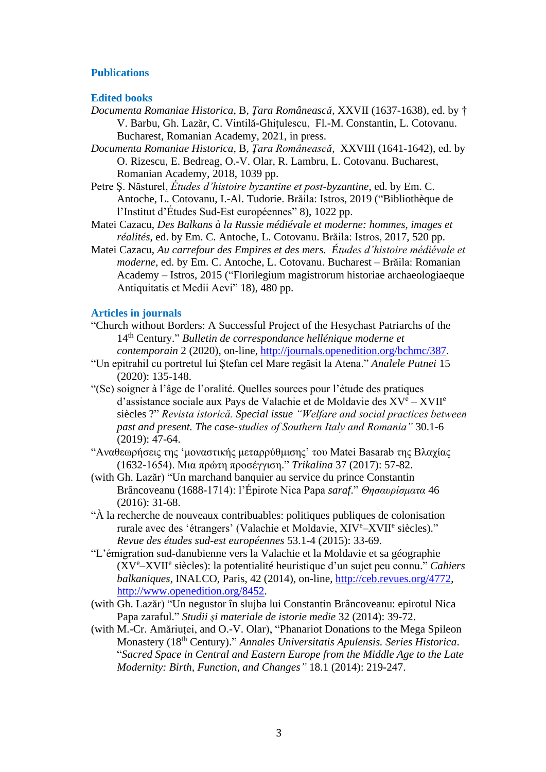## **Publications**

#### **Edited books**

- *Documenta Romaniae Historica*, B, *Ţara Românească*, XXVII (1637-1638), ed. by † V. Barbu, Gh. Lazăr, C. Vintilă-Ghițulescu, Fl.-M. Constantin, L. Cotovanu. Bucharest, Romanian Academy, 2021, in press.
- *Documenta Romaniae Historica*, B, *Ţara Românească*, XXVIII (1641-1642), ed. by O. Rizescu, E. Bedreag, O.-V. Olar, R. Lambru, L. Cotovanu. Bucharest, Romanian Academy, 2018, 1039 pp.
- Petre Ş. Năsturel, *Études d'histoire byzantine et post-byzantine*, ed. by Em. C. Antoche, L. Cotovanu, I.-Al. Tudorie. Brăila: Istros, 2019 ("Bibliothèque de l'Institut d'Études Sud-Est européennes" 8), 1022 pp.
- Matei Cazacu, *Des Balkans à la Russie médiévale et moderne: hommes, images et réalités*, ed. by Em. C. Antoche, L. Cotovanu. Brăila: Istros, 2017, 520 pp.
- Matei Cazacu, *Au carrefour des Empires et des mers. Études d'histoire médiévale et moderne*, ed. by Em. C. Antoche, L. Cotovanu. Bucharest – Brăila: Romanian Academy – Istros, 2015 ("Florilegium magistrorum historiae archaeologiaeque Antiquitatis et Medii Aevi" 18), 480 pp.

#### **Articles in journals**

- "Church without Borders: A Successful Project of the Hesychast Patriarchs of the 14th Century." *Bulletin de correspondance hellénique moderne et contemporain* 2 (2020), on-line, [http://journals.openedition.org/bchmc/387.](http://journals.openedition.org/bchmc/387)
- "Un epitrahil cu portretul lui Ştefan cel Mare regăsit la Atena." *Analele Putnei* 15 (2020): 135-148.
- "(Se) soigner à l'âge de l'oralité. Quelles sources pour l'étude des pratiques d'assistance sociale aux Pays de Valachie et de Moldavie des XV<sup>e</sup> – XVII<sup>e</sup> siècles ?" *Revista istorică. Special issue "Welfare and social practices between past and present. The case-studies of Southern Italy and Romania"* 30.1-6 (2019): 47-64.
- "Αναθεωρήσεις της 'μοναστικής μεταρρύθμισης' του Matei Basarab της Βλαχίας (1632-1654). Μια πρώτη προσέγγιση." *Trikalina* 37 (2017): 57-82.
- (with Gh. Lazăr) "Un marchand banquier au service du prince Constantin Brâncoveanu (1688-1714): l'Épirote Nica Papa *saraf*." *Θησαυρίσματα* 46 (2016): 31-68.
- "À la recherche de nouveaux contribuables: politiques publiques de colonisation rurale avec des 'étrangers' (Valachie et Moldavie, XIVe-XVIIe siècles)." *Revue des études sud-est européennes* 53.1-4 (2015): 33-69.
- "L'émigration sud-danubienne vers la Valachie et la Moldavie et sa géographie (XV<sup>e</sup>–XVII<sup>e</sup> siècles): la potentialité heuristique d'un sujet peu connu." *Cahiers balkaniques*, INALCO, Paris, 42 (2014), on-line, [http://ceb.revues.org/4772,](http://ceb.revues.org/4772) [http://www.openedition.org/8452.](http://www.openedition.org/8452)
- (with Gh. Lazăr) "Un negustor în slujba lui Constantin Brâncoveanu: epirotul Nica Papa zaraful." *Studii şi materiale de istorie medie* 32 (2014): 39-72.
- (with M.-Cr. Amăriuței, and O.-V. Olar), "Phanariot Donations to the Mega Spileon Monastery (18th Century)." *Annales Universitatis Apulensis. Series Historica*. "*Sacred Space in Central and Eastern Europe from the Middle Age to the Late Modernity: Birth, Function, and Changes"* 18.1 (2014): 219-247.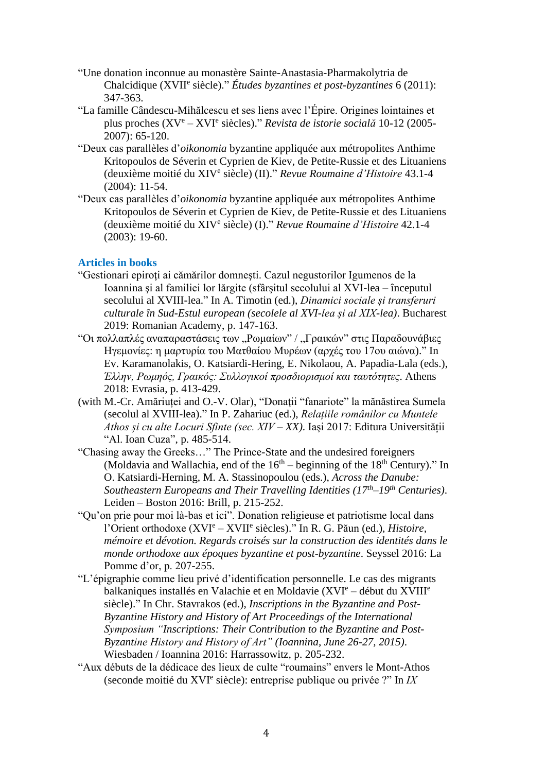- "Une donation inconnue au monastère Sainte-Anastasia-Pharmakolytria de Chalcidique (XVII<sup>e</sup> siècle)." *Études byzantines et post-byzantines* 6 (2011): 347-363.
- "La famille Cândescu-Mihălcescu et ses liens avec l'Épire. Origines lointaines et plus proches (XV<sup>e</sup> – XVI<sup>e</sup> siècles)." *Revista de istorie socială* 10-12 (2005- 2007): 65-120.
- "Deux cas parallèles d'*oikonomia* byzantine appliquée aux métropolites Anthime Kritopoulos de Séverin et Cyprien de Kiev, de Petite-Russie et des Lituaniens (deuxième moitié du XIV<sup>e</sup> siècle) (II)." *Revue Roumaine d'Histoire* 43.1-4 (2004): 11-54.
- "Deux cas parallèles d'*oikonomia* byzantine appliquée aux métropolites Anthime Kritopoulos de Séverin et Cyprien de Kiev, de Petite-Russie et des Lituaniens (deuxième moitié du XIV<sup>e</sup> siècle) (I)." *Revue Roumaine d'Histoire* 42.1-4  $(2003): 19-60.$

# **Articles in books**

- "Gestionari epiroţi ai cămărilor domneşti. Cazul negustorilor Igumenos de la Ioannina şi al familiei lor lărgite (sfârşitul secolului al XVI-lea – începutul secolului al XVIII-lea." In A. Timotin (ed.), *Dinamici sociale și transferuri culturale în Sud-Estul european (secolele al XVI-lea și al XIX-lea)*. Bucharest 2019: Romanian Academy, p. 147-163.
- "Οι πολλαπλές αναπαραστάσεις των "Ρωμαίων" / "Γραικών" στις Παραδουνάβιες Ηγεμονίες: η μαρτυρία του Ματθαίου Μυρέων (αρχές του 17ου αιώνα)." In Ev. Karamanolakis, O. Katsiardi-Hering, E. Nikolaou, A. Papadia-Lala (eds.), *Έλλην, Ρωμηός, Γραικός: Συλλογικοί προσδιορισμοί και ταυτότητες*. Athens 2018: Evrasia, p. 413-429.
- (with M.-Cr. Amăriuței and O.-V. Olar), "Donaţii "fanariote" la mănăstirea Sumela (secolul al XVIII-lea)." In P. Zahariuc (ed.), *Relațiile românilor cu Muntele Athos și cu alte Locuri Sfinte (sec. XIV – XX)*. Iaşi 2017: Editura Universității "Al. Ioan Cuza", p. 485-514.
- "Chasing away the Greeks…" The Prince-State and the undesired foreigners (Moldavia and Wallachia, end of the  $16<sup>th</sup>$  – beginning of the  $18<sup>th</sup>$  Century)." In O. Katsiardi-Herning, M. A. Stassinopoulou (eds.), *Across the Danube: Southeastern Europeans and Their Travelling Identities (17th–19th Centuries)*. Leiden – Boston 2016: Brill, p. 215-252.
- "Qu'on prie pour moi là-bas et ici". Donation religieuse et patriotisme local dans l'Orient orthodoxe (XVI<sup>e</sup> – XVII<sup>e</sup> siècles)." In R. G. Păun (ed.), *Histoire, mémoire et dévotion. Regards croisés sur la construction des identités dans le monde orthodoxe aux époques byzantine et post-byzantine*. Seyssel 2016: La Pomme d'or, p. 207-255.
- "L'épigraphie comme lieu privé d'identification personnelle. Le cas des migrants balkaniques installés en Valachie et en Moldavie (XVI<sup>e</sup> – début du XVIII<sup>e</sup> siècle)." In Chr. Stavrakos (ed.), *Inscriptions in the Byzantine and Post-Byzantine History and History of Art Proceedings of the International Symposium "Inscriptions: Their Contribution to the Byzantine and Post-Byzantine History and History of Art" (Ioannina, June 26-27, 2015)*. Wiesbaden / Ioannina 2016: Harrassowitz, p. 205-232.
- "Aux débuts de la dédicace des lieux de culte "roumains" envers le Mont-Athos (seconde moitié du XVI<sup>e</sup> siècle): entreprise publique ou privée ?" In *ΙΧ*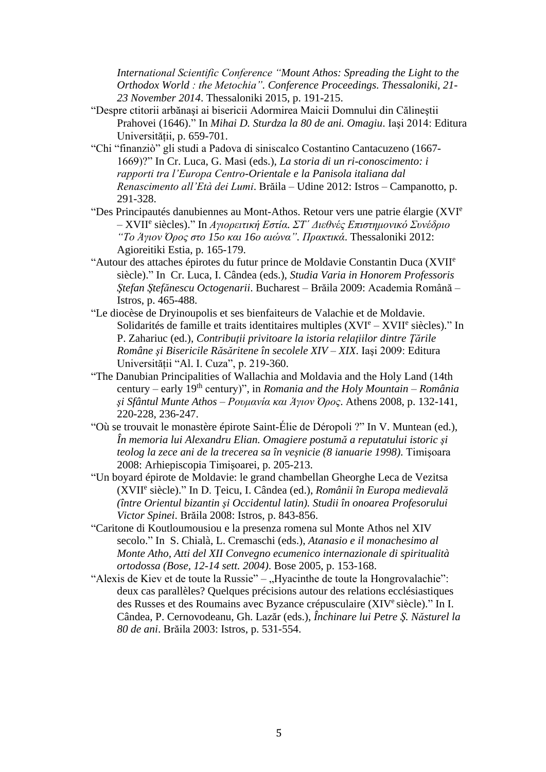*International Scientific Conference "Mount Athos: Spreading the Light to the Orthodox World : the Metochia". Conference Proceedings. Thessaloniki, 21- 23 November 2014*. Thessaloniki 2015, p. 191-215.

- "Despre ctitorii arbănaşi ai bisericii Adormirea Maicii Domnului din Călineştii Prahovei (1646)." In *Mihai D. Sturdza la 80 de ani. Omagiu*. Iaşi 2014: Editura Universității, p. 659-701.
- "Chi "finanziò" gli studi a Padova di siniscalco Costantino Cantacuzeno (1667- 1669)?" In Cr. Luca, G. Masi (eds.), *La storia di un ri-conoscimento: i rapporti tra l'Europa Centro-Orientale e la Panisola italiana dal Renascimento all'Età dei Lumi*. Brăila – Udine 2012: Istros – Campanotto, p. 291-328.
- "Des Principautés danubiennes au Mont-Athos. Retour vers une patrie élargie (XVI<sup>e</sup> – XVII<sup>e</sup> siècles)." In *Αγιορειτική Εστία. ΣΤ΄ Διεθνές Επιστημονικό Συνέδριο "Το Άγιον Όρος στο 15ο και 16ο αιώνα". Πρακτικά*. Thessaloniki 2012: Agioreitiki Estia, p. 165-179.
- "Autour des attaches épirotes du futur prince de Moldavie Constantin Duca (XVII<sup>e</sup> siècle)." In Cr. Luca, I. Cândea (eds.), *Studia Varia in Honorem Professoris Ştefan Ştefănescu Octogenarii*. Bucharest – Brăila 2009: Academia Română – Istros, p. 465-488.
- "Le diocèse de Dryinoupolis et ses bienfaiteurs de Valachie et de Moldavie. Solidarités de famille et traits identitaires multiples (XVI<sup>e</sup> – XVII<sup>e</sup> siècles)." In P. Zahariuc (ed.), *Contribuţii privitoare la istoria relaţiilor dintre Ţările Române şi Bisericile Răsăritene în secolele XIV – XIX*. Iaşi 2009: Editura Universității "Al. I. Cuza", p. 219-360.
- "The Danubian Principalities of Wallachia and Moldavia and the Holy Land (14th century – early 19th century)", in *Romania and the Holy Mountain – România şi Sfântul Munte Athos – Ρουμανία και Άγιον Όρος*. Athens 2008, p. 132-141, 220-228, 236-247.
- "Où se trouvait le monastère épirote Saint-Élie de Déropoli ?" In V. Muntean (ed.), *În memoria lui Alexandru Elian. Omagiere postumă a reputatului istoric şi teolog la zece ani de la trecerea sa în veşnicie (8 ianuarie 1998)*. Timişoara 2008: Arhiepiscopia Timişoarei, p. 205-213.
- "Un boyard épirote de Moldavie: le grand chambellan Gheorghe Leca de Vezitsa (XVII<sup>e</sup> siècle)." In D. Ţeicu, I. Cândea (ed.), *Românii în Europa medievală (între Orientul bizantin şi Occidentul latin). Studii în onoarea Profesorului Victor Spinei*. Brăila 2008: Istros, p. 843-856.
- "Caritone di Koutloumousiou e la presenza romena sul Monte Athos nel XIV secolo." In S. Chialà, L. Cremaschi (eds.), *Atanasio e il monachesimo al Monte Atho, Atti del XII Convegno ecumenico internazionale di spiritualità ortodossa (Bose, 12-14 sett. 2004)*. Bose 2005, p. 153-168.
- "Alexis de Kiev et de toute la Russie" "Hyacinthe de toute la Hongrovalachie": deux cas parallèles? Quelques précisions autour des relations ecclésiastiques des Russes et des Roumains avec Byzance crépusculaire (XIV<sup>e</sup> siècle)." In I. Cândea, P. Cernovodeanu, Gh. Lazăr (eds.), *Închinare lui Petre Ş. Năsturel la 80 de ani*. Brăila 2003: Istros, p. 531-554.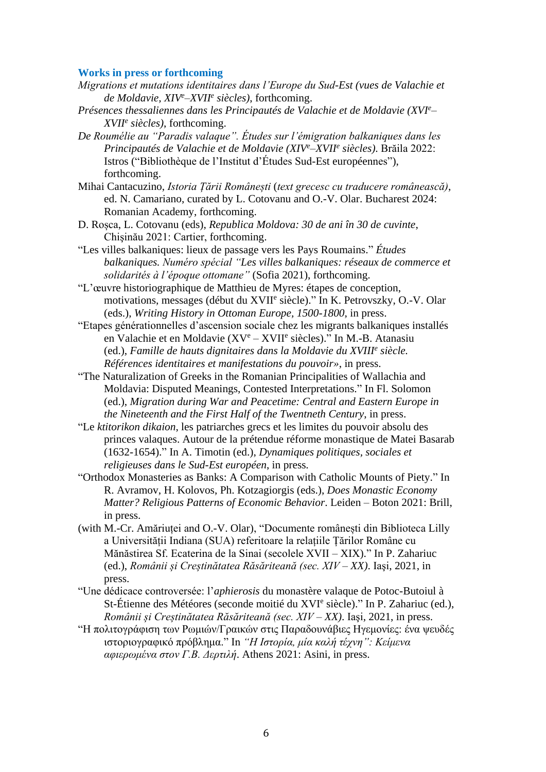#### **Works in press or forthcoming**

- *Migrations et mutations identitaires dans l'Europe du Sud-Est (vues de Valachie et de Moldavie, XIV<sup>e</sup>–XVII<sup>e</sup> siècles)*, forthcoming.
- *Présences thessaliennes dans les Principautés de Valachie et de Moldavie (XVI<sup>e</sup>– XVII<sup>e</sup> siècles)*, forthcoming.
- *De Roumélie au "Paradis valaque". Études sur l'émigration balkaniques dans les Principautés de Valachie et de Moldavie (XIV<sup>e</sup>–XVII<sup>e</sup> siècles)*. Brăila 2022: Istros ("Bibliothèque de l'Institut d'Études Sud-Est européennes"), forthcoming.
- Mihai Cantacuzino, *Istoria Țării Românești* (*text grecesc cu traducere românească)*, ed. N. Camariano, curated by L. Cotovanu and O.-V. Olar. Bucharest 2024: Romanian Academy, forthcoming.
- D. Roșca, L. Cotovanu (eds), *Republica Moldova: 30 de ani în 30 de cuvinte*, Chişinău 2021: Cartier, forthcoming.
- "Les villes balkaniques: lieux de passage vers les Pays Roumains." *Études balkaniques. Numéro spécial "Les villes balkaniques: réseaux de commerce et solidarités à l'époque ottomane"* (Sofia 2021), forthcoming.
- "L'œuvre historiographique de Matthieu de Myres: étapes de conception, motivations, messages (début du XVII<sup>e</sup> siècle)." In K. Petrovszky, O.-V. Olar (eds.), *Writing History in Ottoman Europe, 1500-1800*, in press.
- "Etapes générationnelles d'ascension sociale chez les migrants balkaniques installés en Valachie et en Moldavie (XV<sup>e</sup> – XVII<sup>e</sup> siècles)." In M.-B. Atanasiu (ed.), *Famille de hauts dignitaires dans la Moldavie du XVIII<sup>e</sup> siècle. Références identitaires et manifestations du pouvoir»*, in press.
- "The Naturalization of Greeks in the Romanian Principalities of Wallachia and Moldavia: Disputed Meanings, Contested Interpretations." In Fl. Solomon (ed.), *Migration during War and Peacetime: Central and Eastern Europe in the Nineteenth and the First Half of the Twentneth Century*, in press.
- "Le *ktitorikon dikaion*, les patriarches grecs et les limites du pouvoir absolu des princes valaques. Autour de la prétendue réforme monastique de Matei Basarab (1632-1654)." In A. Timotin (ed.), *Dynamiques politiques, sociales et religieuses dans le Sud-Est européen*, in press*.*
- "Orthodox Monasteries as Banks: A Comparison with Catholic Mounts of Piety." In R. Avramov, H. Kolovos, Ph. Kotzagiorgis (eds.), *Does Monastic Economy Matter? Religious Patterns of Economic Behavior*. Leiden – Boton 2021: Brill, in press.
- (with M.-Cr. Amăriuței and O.-V. Olar), "Documente românești din Biblioteca Lilly a Universității Indiana (SUA) referitoare la relațiile Țărilor Române cu Mănăstirea Sf. Ecaterina de la Sinai (secolele XVII – XIX)." In P. Zahariuc (ed.), *Românii și Creștinătatea Răsăriteană (sec. XIV – XX)*. Iaşi, 2021, in press.
- "Une dédicace controversée: l'*aphierosis* du monastère valaque de Potoc-Butoiul à St-Étienne des Météores (seconde moitié du XVI<sup>e</sup> siècle)." In P. Zahariuc (ed.), *Românii și Creștinătatea Răsăriteană (sec. XIV – XX)*. Iaşi, 2021, in press.
- "Η πολιτογράφιση των Ρωμιών/Γραικών στις Παραδουνάβιες Ηγεμονίες: ένα ψευδές ιστοριογραφικό πρόβλημα." In *"Η Ιστορία, μία καλή τέχνη": Κείμενα αφιερωμένα στον Γ.Β. Δερτιλή*. Athens 2021: Asini, in press.